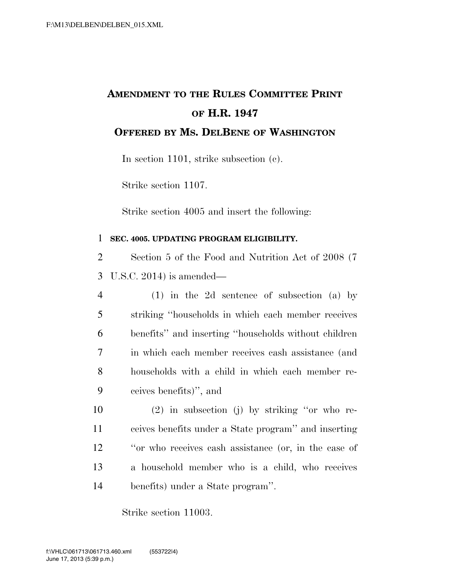## **AMENDMENT TO THE RULES COMMITTEE PRINT OF H.R. 1947**

**OFFERED BY MS. DELBENE OF WASHINGTON**

In section 1101, strike subsection (c).

Strike section 1107.

Strike section 4005 and insert the following:

## 1 **SEC. 4005. UPDATING PROGRAM ELIGIBILITY.**

2 Section 5 of the Food and Nutrition Act of 2008 (7 3 U.S.C. 2014) is amended—

- 4 (1) in the 2d sentence of subsection (a) by 5 striking ''households in which each member receives 6 benefits'' and inserting ''households without children 7 in which each member receives cash assistance (and 8 households with a child in which each member re-9 ceives benefits)'', and
- 10 (2) in subsection (j) by striking ''or who re-11 ceives benefits under a State program'' and inserting 12 ''or who receives cash assistance (or, in the case of 13 a household member who is a child, who receives 14 benefits) under a State program''.

Strike section 11003.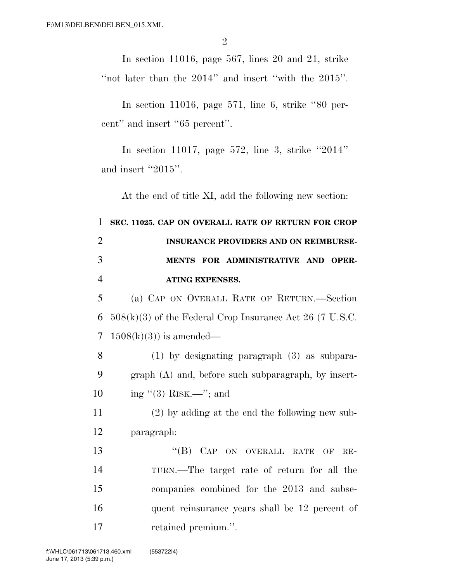In section 11016, page 567, lines 20 and 21, strike "not later than the 2014" and insert "with the 2015".

In section 11016, page 571, line 6, strike ''80 percent'' and insert ''65 percent''.

In section 11017, page 572, line 3, strike ''2014'' and insert "2015".

At the end of title XI, add the following new section:

 **SEC. 11025. CAP ON OVERALL RATE OF RETURN FOR CROP INSURANCE PROVIDERS AND ON REIMBURSE- MENTS FOR ADMINISTRATIVE AND OPER- ATING EXPENSES.**  (a) CAP ON OVERALL RATE OF RETURN.—Section  $508(k)(3)$  of the Federal Crop Insurance Act 26 (7 U.S.C.  $1508(k)(3)$  is amended— (1) by designating paragraph (3) as subpara- graph (A) and, before such subparagraph, by insert-10 ing  $(3)$  RISK.—"; and (2) by adding at the end the following new sub- paragraph: 13 "(B) CAP ON OVERALL RATE OF RE- TURN.—The target rate of return for all the companies combined for the 2013 and subse- quent reinsurance years shall be 12 percent of 17 retained premium.".